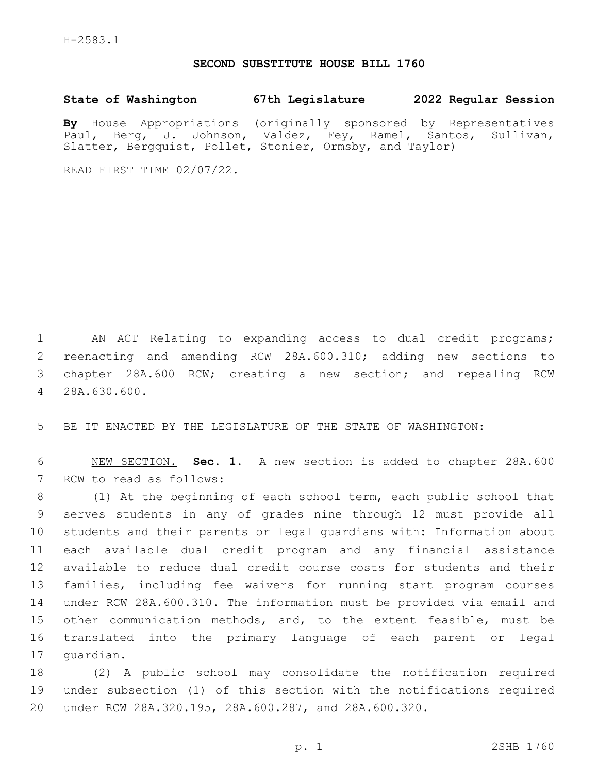## **SECOND SUBSTITUTE HOUSE BILL 1760**

**State of Washington 67th Legislature 2022 Regular Session**

**By** House Appropriations (originally sponsored by Representatives Paul, Berg, J. Johnson, Valdez, Fey, Ramel, Santos, Sullivan, Slatter, Bergquist, Pollet, Stonier, Ormsby, and Taylor)

READ FIRST TIME 02/07/22.

 AN ACT Relating to expanding access to dual credit programs; reenacting and amending RCW 28A.600.310; adding new sections to chapter 28A.600 RCW; creating a new section; and repealing RCW 28A.630.600.4

BE IT ENACTED BY THE LEGISLATURE OF THE STATE OF WASHINGTON:

 NEW SECTION. **Sec. 1.** A new section is added to chapter 28A.600 7 RCW to read as follows:

 (1) At the beginning of each school term, each public school that serves students in any of grades nine through 12 must provide all students and their parents or legal guardians with: Information about each available dual credit program and any financial assistance available to reduce dual credit course costs for students and their families, including fee waivers for running start program courses under RCW 28A.600.310. The information must be provided via email and other communication methods, and, to the extent feasible, must be translated into the primary language of each parent or legal 17 quardian.

 (2) A public school may consolidate the notification required under subsection (1) of this section with the notifications required under RCW 28A.320.195, 28A.600.287, and 28A.600.320.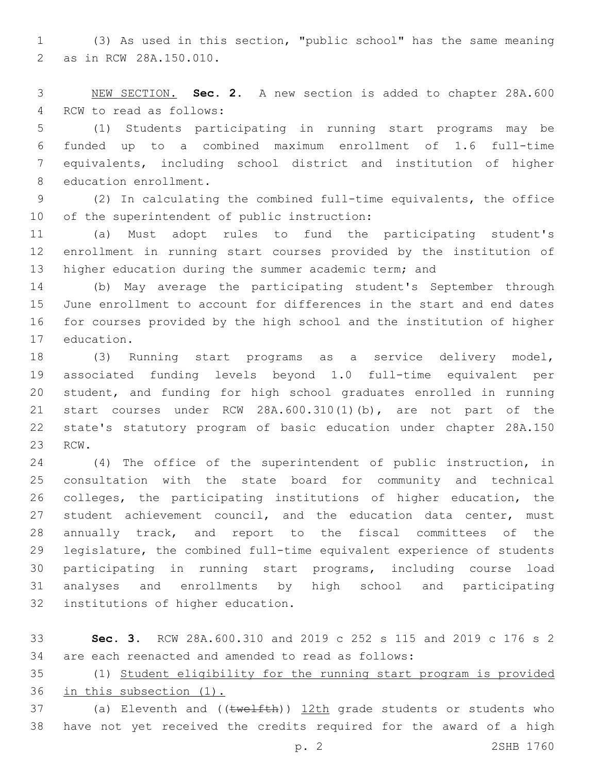(3) As used in this section, "public school" has the same meaning 2 as in RCW 28A.150.010.

 NEW SECTION. **Sec. 2.** A new section is added to chapter 28A.600 4 RCW to read as follows:

 (1) Students participating in running start programs may be funded up to a combined maximum enrollment of 1.6 full-time equivalents, including school district and institution of higher 8 education enrollment.

 (2) In calculating the combined full-time equivalents, the office 10 of the superintendent of public instruction:

 (a) Must adopt rules to fund the participating student's enrollment in running start courses provided by the institution of 13 higher education during the summer academic term; and

 (b) May average the participating student's September through June enrollment to account for differences in the start and end dates for courses provided by the high school and the institution of higher 17 education.

 (3) Running start programs as a service delivery model, associated funding levels beyond 1.0 full-time equivalent per student, and funding for high school graduates enrolled in running start courses under RCW 28A.600.310(1)(b), are not part of the state's statutory program of basic education under chapter 28A.150 23 RCW.

 (4) The office of the superintendent of public instruction, in consultation with the state board for community and technical colleges, the participating institutions of higher education, the 27 student achievement council, and the education data center, must annually track, and report to the fiscal committees of the legislature, the combined full-time equivalent experience of students participating in running start programs, including course load analyses and enrollments by high school and participating 32 institutions of higher education.

 **Sec. 3.** RCW 28A.600.310 and 2019 c 252 s 115 and 2019 c 176 s 2 are each reenacted and amended to read as follows:

 (1) Student eligibility for the running start program is provided in this subsection (1).

37 (a) Eleventh and ((twelfth)) 12th grade students or students who have not yet received the credits required for the award of a high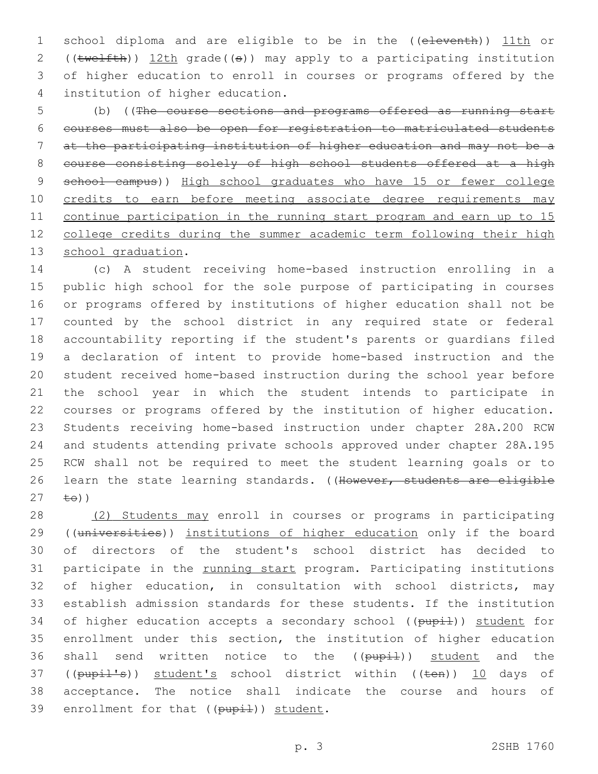1 school diploma and are eligible to be in the ((eleventh)) 11th or 2 ((twelfth)) 12th grade((s)) may apply to a participating institution 3 of higher education to enroll in courses or programs offered by the institution of higher education.4

5 (b) ((The course sections and programs offered as running start 6 courses must also be open for registration to matriculated students 7 at the participating institution of higher education and may not be a 8 course consisting solely of high school students offered at a high 9 school campus)) High school graduates who have 15 or fewer college 10 credits to earn before meeting associate degree requirements may 11 continue participation in the running start program and earn up to 15 12 college credits during the summer academic term following their high 13 school graduation.

 (c) A student receiving home-based instruction enrolling in a public high school for the sole purpose of participating in courses or programs offered by institutions of higher education shall not be counted by the school district in any required state or federal accountability reporting if the student's parents or guardians filed a declaration of intent to provide home-based instruction and the student received home-based instruction during the school year before the school year in which the student intends to participate in courses or programs offered by the institution of higher education. Students receiving home-based instruction under chapter 28A.200 RCW and students attending private schools approved under chapter 28A.195 RCW shall not be required to meet the student learning goals or to 26 learn the state learning standards. ((However, students are eligible  $\pm \Theta$ ))

28 (2) Students may enroll in courses or programs in participating 29 ((universities)) institutions of higher education only if the board 30 of directors of the student's school district has decided to 31 participate in the running start program. Participating institutions 32 of higher education, in consultation with school districts, may 33 establish admission standards for these students. If the institution 34 of higher education accepts a secondary school ((pupil)) student for 35 enrollment under this section, the institution of higher education 36 shall send written notice to the ((pupil)) student and the 37 ((pupil's)) student's school district within ((ten)) 10 days of 38 acceptance. The notice shall indicate the course and hours of 39 enrollment for that ((pupil)) student.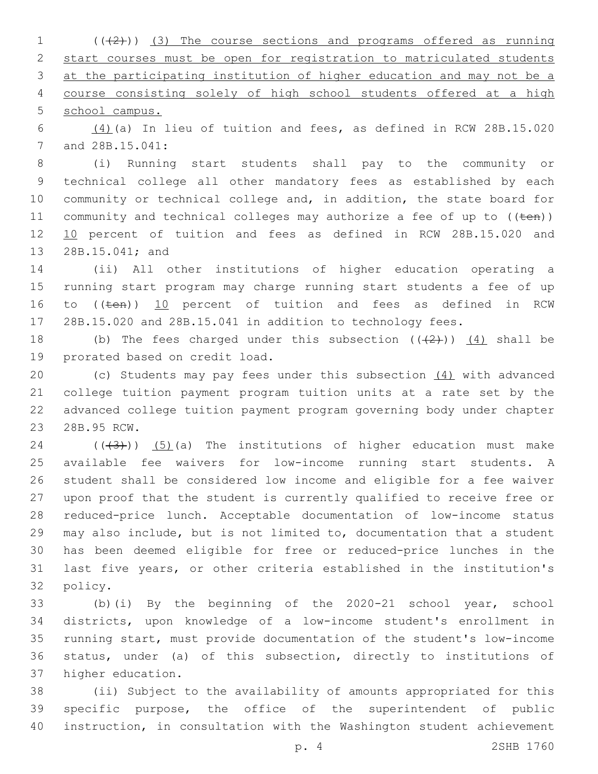( $(\frac{1}{2})$ ) (3) The course sections and programs offered as running start courses must be open for registration to matriculated students at the participating institution of higher education and may not be a course consisting solely of high school students offered at a high school campus.

 (4)(a) In lieu of tuition and fees, as defined in RCW 28B.15.020 7 and 28B.15.041:

 (i) Running start students shall pay to the community or technical college all other mandatory fees as established by each community or technical college and, in addition, the state board for 11 community and technical colleges may authorize a fee of up to  $((\text{ten}))$ 12 10 percent of tuition and fees as defined in RCW 28B.15.020 and 13 28B.15.041; and

 (ii) All other institutions of higher education operating a running start program may charge running start students a fee of up 16 to ((ten)) 10 percent of tuition and fees as defined in RCW 28B.15.020 and 28B.15.041 in addition to technology fees.

18 (b) The fees charged under this subsection  $((+2))$   $(4)$  shall be 19 prorated based on credit load.

 (c) Students may pay fees under this subsection (4) with advanced college tuition payment program tuition units at a rate set by the advanced college tuition payment program governing body under chapter 23 28B.95 RCW.

24 ( $(\overline{3})$ ) (5)(a) The institutions of higher education must make available fee waivers for low-income running start students. A student shall be considered low income and eligible for a fee waiver upon proof that the student is currently qualified to receive free or reduced-price lunch. Acceptable documentation of low-income status may also include, but is not limited to, documentation that a student has been deemed eligible for free or reduced-price lunches in the last five years, or other criteria established in the institution's 32 policy.

 (b)(i) By the beginning of the 2020-21 school year, school districts, upon knowledge of a low-income student's enrollment in running start, must provide documentation of the student's low-income status, under (a) of this subsection, directly to institutions of 37 higher education.

 (ii) Subject to the availability of amounts appropriated for this specific purpose, the office of the superintendent of public instruction, in consultation with the Washington student achievement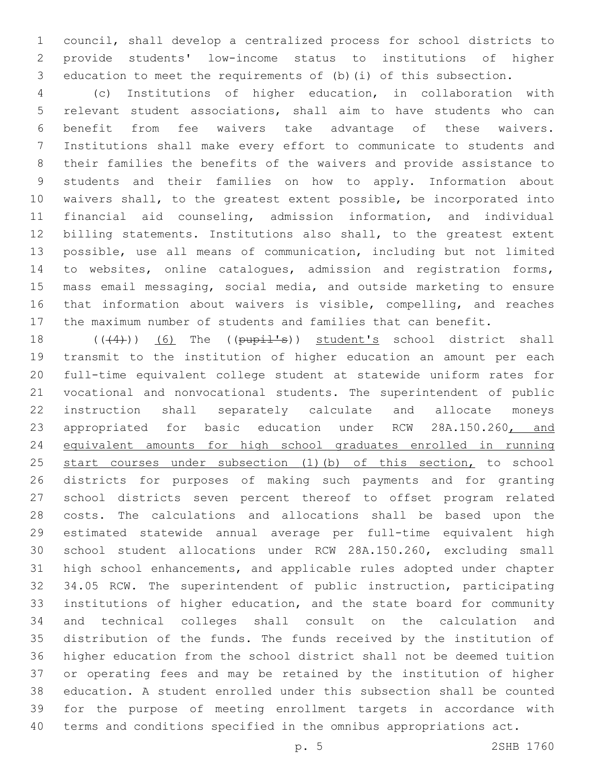council, shall develop a centralized process for school districts to provide students' low-income status to institutions of higher education to meet the requirements of (b)(i) of this subsection.

 (c) Institutions of higher education, in collaboration with relevant student associations, shall aim to have students who can benefit from fee waivers take advantage of these waivers. Institutions shall make every effort to communicate to students and their families the benefits of the waivers and provide assistance to students and their families on how to apply. Information about waivers shall, to the greatest extent possible, be incorporated into financial aid counseling, admission information, and individual billing statements. Institutions also shall, to the greatest extent possible, use all means of communication, including but not limited 14 to websites, online catalogues, admission and registration forms, mass email messaging, social media, and outside marketing to ensure that information about waivers is visible, compelling, and reaches the maximum number of students and families that can benefit.

18 (((4))) (6) The ((pupil's)) student's school district shall transmit to the institution of higher education an amount per each full-time equivalent college student at statewide uniform rates for vocational and nonvocational students. The superintendent of public instruction shall separately calculate and allocate moneys 23 appropriated for basic education under RCW 28A.150.260, and equivalent amounts for high school graduates enrolled in running 25 start courses under subsection (1)(b) of this section, to school districts for purposes of making such payments and for granting school districts seven percent thereof to offset program related costs. The calculations and allocations shall be based upon the estimated statewide annual average per full-time equivalent high school student allocations under RCW 28A.150.260, excluding small high school enhancements, and applicable rules adopted under chapter 34.05 RCW. The superintendent of public instruction, participating institutions of higher education, and the state board for community and technical colleges shall consult on the calculation and distribution of the funds. The funds received by the institution of higher education from the school district shall not be deemed tuition or operating fees and may be retained by the institution of higher education. A student enrolled under this subsection shall be counted for the purpose of meeting enrollment targets in accordance with terms and conditions specified in the omnibus appropriations act.